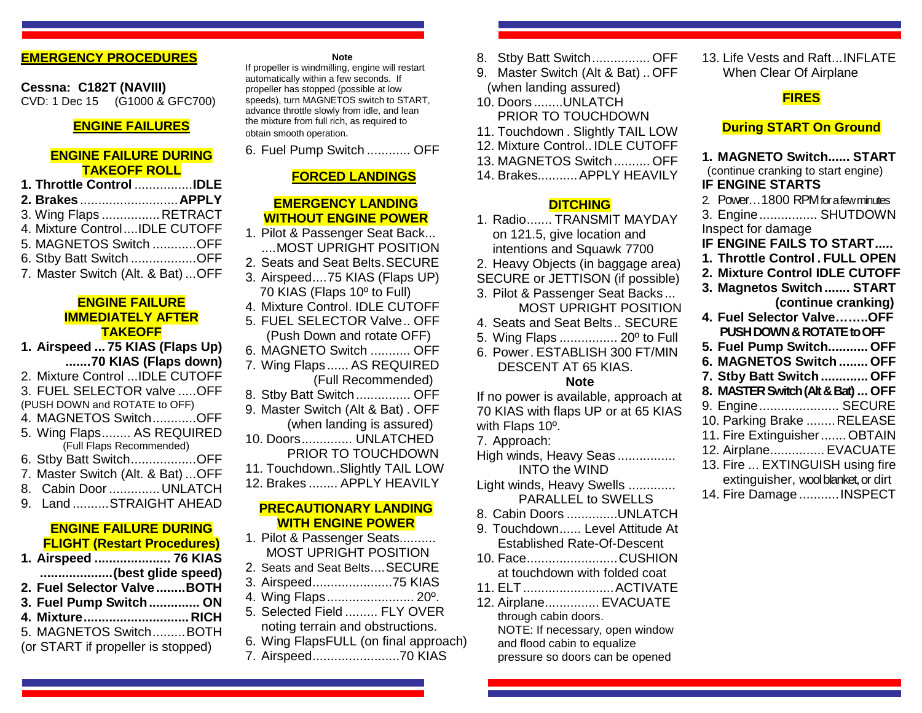## **EMERGENCY PROCEDURES**

**Cessna: C182T (NAVIII)** CVD: 1 Dec 15 (G1000 & GFC700)

### **ENGINE FAILURES**

### **ENGINE FAILURE DURING TAKEOFF ROLL**

| 1. Throttle Control IDLE           |  |
|------------------------------------|--|
| 2. Brakes  APPLY                   |  |
| 3. Wing Flaps  RETRACT             |  |
| 4. Mixture ControlIDLE CUTOFF      |  |
| 5. MAGNETOS Switch OFF             |  |
| 6. Stby Batt Switch OFF            |  |
| 7. Master Switch (Alt. & Bat)  OFF |  |

#### **ENGINE FAILURE IMMEDIATELY AFTER TAKEOFF**

**1. Airspeed ... 75 KIAS (Flaps Up) .......70 KIAS (Flaps down)**

2. Mixture Control ...IDLE CUTOFF 3. FUEL SELECTOR valve .....OFF

(PUSH DOWN and ROTATE to OFF)

- 4. MAGNETOS Switch............OFF
- 5. Wing Flaps........ AS REQUIRED (Full Flaps Recommended)
- 6. Stby Batt Switch..................OFF
- 7. Master Switch (Alt. & Bat) ...OFF
- 8. Cabin Door ..............UNLATCH
- 9. Land ..........STRAIGHT AHEAD

### **ENGINE FAILURE DURING FLIGHT (Restart Procedures)**

- **1. Airspeed ..................... 76 KIAS**
- **....................(best glide speed)**
- **2. Fuel Selector Valve ........BOTH**
- **3. Fuel Pump Switch.............. ON**
- **4. Mixture............................. RICH** 5. MAGNETOS Switch.........BOTH
- 
- (or START if propeller is stopped)

#### **Note**

If propeller is windmilling, engine will restart automatically within a few seconds. If propeller has stopped (possible at low speeds), turn MAGNETOS switch to START, advance throttle slowly from idle, and lean the mixture from full rich, as required to obtain smooth operation.

6. Fuel Pump Switch ............ OFF

# **FORCED LANDINGS**

## **EMERGENCY LANDING WITHOUT ENGINE POWER**

- 1. Pilot & Passenger Seat Back... ....MOST UPRIGHT POSITION
- 2. Seats and Seat Belts.SECURE
- 3. Airspeed....75 KIAS (Flaps UP) 70 KIAS (Flaps 10º to Full)
- 4. Mixture Control. IDLE CUTOFF
- 5. FUEL SELECTOR Valve.. OFF (Push Down and rotate OFF)
- 6. MAGNETO Switch ........... OFF
- 7. Wing Flaps...... AS REQUIRED (Full Recommended)
- 8. Stby Batt Switch............... OFF
- 9. Master Switch (Alt & Bat) . OFF (when landing is assured)
- 10. Doors.............. UNLATCHED PRIOR TO TOUCHDOWN
- 11. Touchdown..Slightly TAIL LOW
- 12. Brakes ........ APPLY HEAVILY

#### **PRECAUTIONARY LANDING WITH ENGINE POWER**

- 1. Pilot & Passenger Seats.......... MOST UPRIGHT POSITION
- 2. Seats and Seat Belts....SECURE
- 3. Airspeed......................75 KIAS
- 4. Wing Flaps........................ 20º.
- 5. Selected Field ......... FLY OVER noting terrain and obstructions.
- 6. Wing FlapsFULL (on final approach)
- 7. Airspeed........................70 KIAS
- 8. Stby Batt Switch................ OFF
- 9. Master Switch (Alt & Bat) .. OFF (when landing assured)
- 10. Doors ........UNLATCH PRIOR TO TOUCHDOWN
- 11. Touchdown . Slightly TAIL LOW
- 12. Mixture Control.. IDLE CUTOFF
- 13. MAGNETOS Switch.......... OFF
- 14. Brakes...........APPLY HEAVILY

## **DITCHING**

- 1. Radio....... TRANSMIT MAYDAY on 121.5, give location and intentions and Squawk 7700
- 2. Heavy Objects (in baggage area)
- SECURE or JETTISON (if possible)
- 3. Pilot & Passenger Seat Backs ... MOST UPRIGHT POSITION
- 4. Seats and Seat Belts.. SECURE
- 5. Wing Flaps ................ 20º to Full
- 6. Power. ESTABLISH 300 FT/MIN
- DESCENT AT 65 KIAS. **Note**

If no power is available, approach at 70 KIAS with flaps UP or at 65 KIAS

with Flaps 10º.

- 7. Approach:
- High winds, Heavy Seas ................ INTO the WIND
- Light winds, Heavy Swells ............. PARALLEL to SWELLS
- 8. Cabin Doors ..............UNLATCH
- 9. Touchdown...... Level Attitude At Established Rate-Of-Descent
- 10. Face.........................CUSHION at touchdown with folded coat
- 11. ELT.........................ACTIVATE
- 12. Airplane............... EVACUATE through cabin doors. NOTE: If necessary, open window and flood cabin to equalize pressure so doors can be opened

13. Life Vests and Raft...INFLATE When Clear Of Airplane

# **FIRES**

#### **During START On Ground**

**1. MAGNETO Switch...... START** (continue cranking to start engine) **IF ENGINE STARTS** 2. Power…1800 RPM for a few minutes 3. Engine................ SHUTDOWN Inspect for damage **IF ENGINE FAILS TO START***.....* **1. Throttle Control . FULL OPEN 2. Mixture Control IDLE CUTOFF 3. Magnetos Switch....... START (continue cranking) 4. Fuel Selector Valve……..OFF PUSH DOWN & ROTATE to OFF 5. Fuel Pump Switch........... OFF 6. MAGNETOS Switch ........ OFF 7. Stby Batt Switch............. OFF 8. MASTER Switch(Alt & Bat) ... OFF** 9. Engine...................... SECURE

- 10. Parking Brake ........RELEASE
- 11. Fire Extinguisher.......OBTAIN
- 12. Airplane............... EVACUATE
- 13. Fire ... EXTINGUISH using fire
- extinguisher, wool blanket, or dirt
- 14. Fire Damage ...........INSPECT